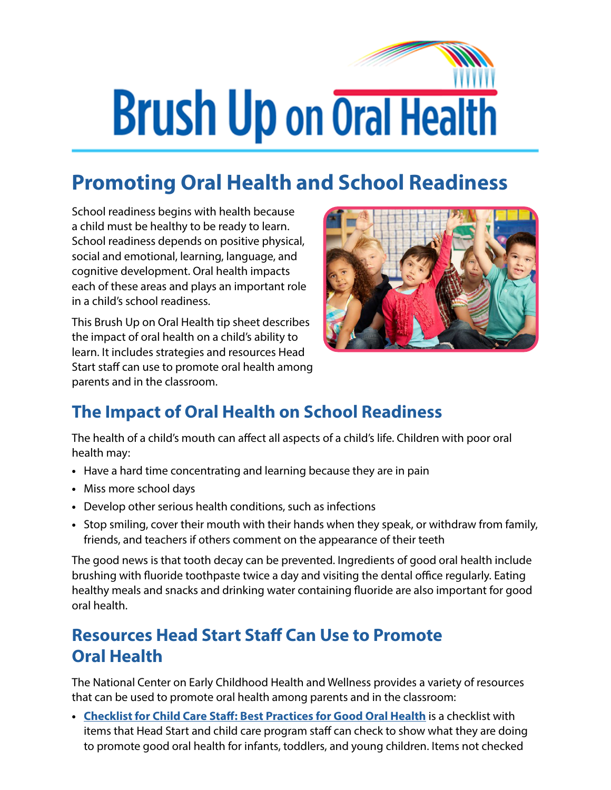## **Brush Up on Oral Health**

## **Promoting Oral Health and School Readiness**

School readiness begins with health because a child must be healthy to be ready to learn. School readiness depends on positive physical, social and emotional, learning, language, and cognitive development. Oral health impacts each of these areas and plays an important role in a child's school readiness.

This Brush Up on Oral Health tip sheet describes the impact of oral health on a child's ability to learn. It includes strategies and resources Head Start staff can use to promote oral health among parents and in the classroom.



## **The Impact of Oral Health on School Readiness**

The health of a child's mouth can affect all aspects of a child's life. Children with poor oral health may:

- **•** Have a hard time concentrating and learning because they are in pain
- **•** Miss more school days
- **•** Develop other serious health conditions, such as infections
- **•** Stop smiling, cover their mouth with their hands when they speak, or withdraw from family, friends, and teachers if others comment on the appearance of their teeth

The good news is that tooth decay can be prevented. Ingredients of good oral health include brushing with fluoride toothpaste twice a day and visiting the dental office regularly. Eating healthy meals and snacks and drinking water containing fluoride are also important for good oral health.

## **Resources Head Start Staff Can Use to Promote Oral Health**

The National Center on Early Childhood Health and Wellness provides a variety of resources that can be used to promote oral health among parents and in the classroom:

**• [Checklist for Child Care Staff: Best Practices for Good Oral Health](https://eclkc.ohs.acf.hhs.gov/publication/checklist-child-care-staff-best-practices-good-oral-health)** is a checklist with items that Head Start and child care program staff can check to show what they are doing to promote good oral health for infants, toddlers, and young children. Items not checked